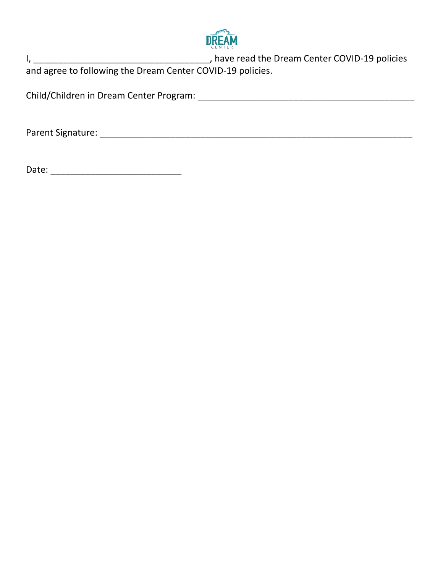

I, \_\_\_\_\_\_\_\_\_\_\_\_\_\_\_\_\_\_\_\_\_\_\_\_\_\_\_\_\_\_\_\_\_\_\_, have read the Dream Center COVID-19 policies and agree to following the Dream Center COVID-19 policies.

Child/Children in Dream Center Program: \_\_\_\_\_\_\_\_\_\_\_\_\_\_\_\_\_\_\_\_\_\_\_\_\_\_\_\_\_\_\_\_\_\_\_\_\_\_\_\_\_\_\_

Parent Signature: \_\_\_\_\_\_\_\_\_\_\_\_\_\_\_\_\_\_\_\_\_\_\_\_\_\_\_\_\_\_\_\_\_\_\_\_\_\_\_\_\_\_\_\_\_\_\_\_\_\_\_\_\_\_\_\_\_\_\_\_\_\_

Date: \_\_\_\_\_\_\_\_\_\_\_\_\_\_\_\_\_\_\_\_\_\_\_\_\_\_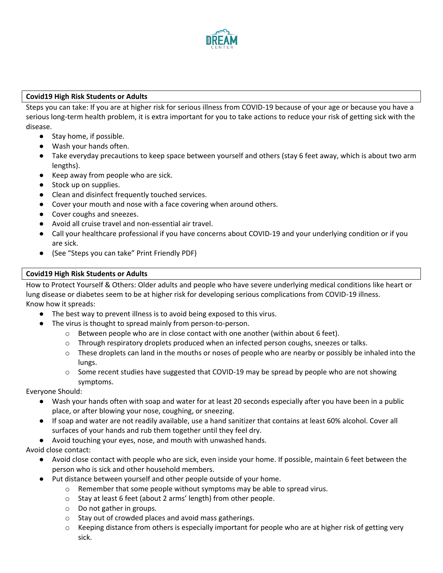

## **Covid19 High Risk Students or Adults**

Steps you can take: If you are at higher risk for serious illness from COVID-19 because of your age or because you have a serious long-term health problem, it is extra important for you to take actions to reduce your risk of getting sick with the disease.

- Stay home, if possible.
- Wash your hands often.
- Take everyday precautions to keep space between yourself and others (stay 6 feet away, which is about two arm lengths).
- Keep away from people who are sick.
- Stock up on supplies.
- Clean and disinfect frequently touched services.
- Cover your mouth and nose with a face covering when around others.
- Cover coughs and sneezes.
- Avoid all cruise travel and non-essential air travel.
- Call your healthcare professional if you have concerns about COVID-19 and your underlying condition or if you are sick.
- (See "Steps you can take" Print Friendly PDF)

## **Covid19 High Risk Students or Adults**

How to Protect Yourself & Others: Older adults and people who have severe underlying medical conditions like heart or lung disease or diabetes seem to be at higher risk for developing serious complications from COVID-19 illness. Know how it spreads:

- The best way to prevent illness is to avoid being exposed to this virus.
- The virus is thought to [spread mainly from person-to-person.](https://www.cdc.gov/coronavirus/2019-ncov/prevent-getting-sick/how-covid-spreads.html)
	- $\circ$  Between people who are in close contact with one another (within about 6 feet).
	- $\circ$  Through respiratory droplets produced when an infected person coughs, sneezes or talks.
	- $\circ$  These droplets can land in the mouths or noses of people who are nearby or possibly be inhaled into the lungs.
	- $\circ$  Some recent studies have suggested that COVID-19 may be spread by people who are not showing symptoms.

#### Everyone Should:

- [Wash your hands](https://www.cdc.gov/handwashing/when-how-handwashing.html) often with soap and water for at least 20 seconds especially after you have been in a public place, or after blowing your nose, coughing, or sneezing.
- If soap and water are not readily available, use a hand sanitizer that contains at least 60% alcohol. Cover all surfaces of your hands and rub them together until they feel dry.
- Avoid touching your eyes, nose, and mouth with unwashed hands.

Avoid close contact:

- Avoid close contact with people who are sick, even inside your home. If possible, maintain 6 feet between the person who is sick and other household members.
- Put distance between yourself and other people outside of your home.
	- $\circ$  Remember that some people without symptoms may be able to spread virus.
	- o [Stay at least 6 feet \(about 2 arms' length\) from other people](https://www.cdc.gov/coronavirus/2019-ncov/prevent-getting-sick/social-distancing.html).
	- o Do not gather in groups.
	- o Stay out of crowded places and avoid mass gatherings.
	- $\circ$  Keeping distance from others is especially important for people who are at higher risk of getting very sick.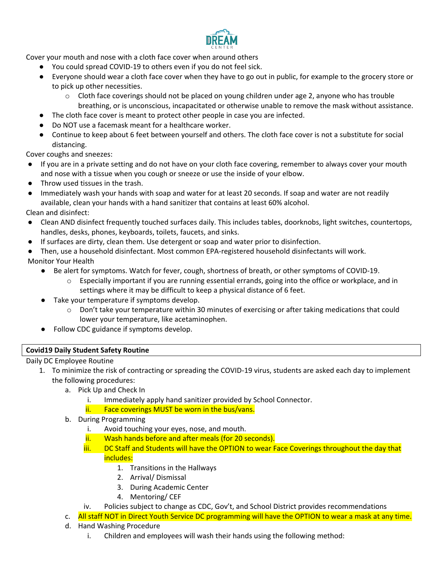

Cover your mouth and nose with a cloth face cover when around others

- You could spread COVID-19 to others even if you do not feel sick.
- Everyone should wear a [cloth face cover](https://www.cdc.gov/coronavirus/2019-ncov/prevent-getting-sick/diy-cloth-face-coverings.html) when they have to go out in public, for example to the grocery store or to pick up other necessities.
	- $\circ$  Cloth face coverings should not be placed on young children under age 2, anyone who has trouble breathing, or is unconscious, incapacitated or otherwise unable to remove the mask without assistance.
	- The cloth face cover is meant to protect other people in case you are infected.
- Do NOT use a facemask meant for a healthcare worker.
- Continue to keep about 6 feet between yourself and others. The cloth face cover is not a substitute for social distancing.

Cover coughs and sneezes:

- If you are in a private setting and do not have on your cloth face covering, remember to always cover your mouth and nose with a tissue when you cough or sneeze or use the inside of your elbow.
- Throw used tissues in the trash.
- Immediately wash your hands with soap and water for at least 20 seconds. If soap and water are not readily available, clean your hands with a hand sanitizer that contains at least 60% alcohol.

Clean and disinfect:

- Clean AND disinfect [frequently touched surfaces](https://www.cdc.gov/coronavirus/2019-ncov/prevent-getting-sick/disinfecting-your-home.html) daily. This includes tables, doorknobs, light switches, countertops, handles, desks, phones, keyboards, toilets, faucets, and sinks.
- If surfaces are dirty, clean them. Use detergent or soap and water prior to disinfection.
- Then, use a household disinfectant. Most common EPA-registered household disinfectants will work.
- Monitor Your Health
	- Be alert for symptoms. Watch for fever, cough, shortness of breath, or [other symptoms](https://www.cdc.gov/coronavirus/2019-ncov/symptoms-testing/symptoms.html) of COVID-19.
		- $\circ$  Especially important if you are [running essential errands,](https://www.cdc.gov/coronavirus/2019-ncov/daily-life-coping/essential-goods-services.html) going into the office or workplace, and in settings where it may be difficult to keep a [physical distance of 6 feet.](https://www.cdc.gov/coronavirus/2019-ncov/prevent-getting-sick/social-distancing.html)
	- Take your temperature if symptoms develop.
		- $\circ$  Don't take your temperature within 30 minutes of exercising or after taking medications that could lower your temperature, like acetaminophen.
	- Follow [CDC guidance](https://www.cdc.gov/coronavirus/2019-ncov/if-you-are-sick/steps-when-sick.html) if symptoms develop.

#### **Covid19 Daily Student Safety Routine**

#### Daily DC Employee Routine

- 1. To minimize the risk of contracting or spreading the COVID-19 virus, students are asked each day to implement the following procedures:
	- a. Pick Up and Check In
		- i. Immediately apply hand sanitizer provided by School Connector.
		- ii. Face coverings MUST be worn in the bus/vans.
	- b. During Programming
		- i. Avoid touching your eyes, nose, and mouth.
		- ii. Wash hands before and after meals (for 20 seconds).
		- iii. DC Staff and Students will have the OPTION to wear Face Coverings throughout the day that includes:
			- 1. Transitions in the Hallways
			- 2. Arrival/ Dismissal
			- 3. During Academic Center
			- 4. Mentoring/ CEF
		- iv. Policies subject to change as CDC, Gov't, and School District provides recommendations
	- c. All staff NOT in Direct Youth Service DC programming will have the OPTION to wear a mask at any time.
	- d. Hand Washing Procedure
		- i. Children and employees will wash their hands using the following method: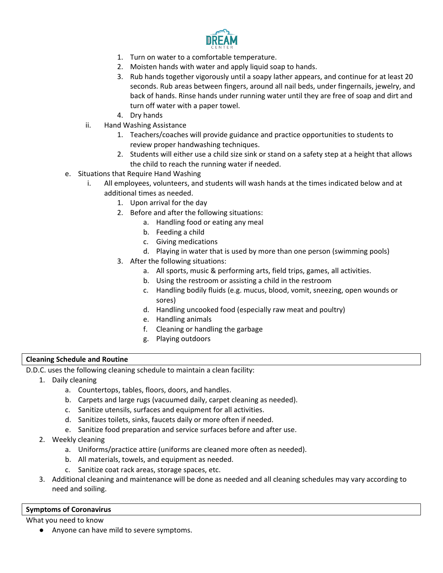

- 1. Turn on water to a comfortable temperature.
- 2. Moisten hands with water and apply liquid soap to hands.
- 3. Rub hands together vigorously until a soapy lather appears, and continue for at least 20 seconds. Rub areas between fingers, around all nail beds, under fingernails, jewelry, and back of hands. Rinse hands under running water until they are free of soap and dirt and turn off water with a paper towel.
- 4. Dry hands
- ii. Hand Washing Assistance
	- 1. Teachers/coaches will provide guidance and practice opportunities to students to review proper handwashing techniques.
	- 2. Students will either use a child size sink or stand on a safety step at a height that allows the child to reach the running water if needed.
- e. Situations that Require Hand Washing
	- i. All employees, volunteers, and students will wash hands at the times indicated below and at additional times as needed.
		- 1. Upon arrival for the day
		- 2. Before and after the following situations:
			- a. Handling food or eating any meal
				- b. Feeding a child
				- c. Giving medications
				- d. Playing in water that is used by more than one person (swimming pools)
		- 3. After the following situations:
			- a. All sports, music & performing arts, field trips, games, all activities.
			- b. Using the restroom or assisting a child in the restroom
			- c. Handling bodily fluids (e.g. mucus, blood, vomit, sneezing, open wounds or sores)
			- d. Handling uncooked food (especially raw meat and poultry)
			- e. Handling animals
			- f. Cleaning or handling the garbage
			- g. Playing outdoors

#### **Cleaning Schedule and Routine**

D.D.C. uses the following cleaning schedule to maintain a clean facility:

- 1. Daily cleaning
	- a. Countertops, tables, floors, doors, and handles.
	- b. Carpets and large rugs (vacuumed daily, carpet cleaning as needed).
	- c. Sanitize utensils, surfaces and equipment for all activities.
	- d. Sanitizes toilets, sinks, faucets daily or more often if needed.
	- e. Sanitize food preparation and service surfaces before and after use.
- 2. Weekly cleaning
	- a. Uniforms/practice attire (uniforms are cleaned more often as needed).
	- b. All materials, towels, and equipment as needed.
	- c. Sanitize coat rack areas, storage spaces, etc.
- 3. Additional cleaning and maintenance will be done as needed and all cleaning schedules may vary according to need and soiling.

### **Symptoms of Coronavirus**

What you need to know

● Anyone can have mild to severe symptoms.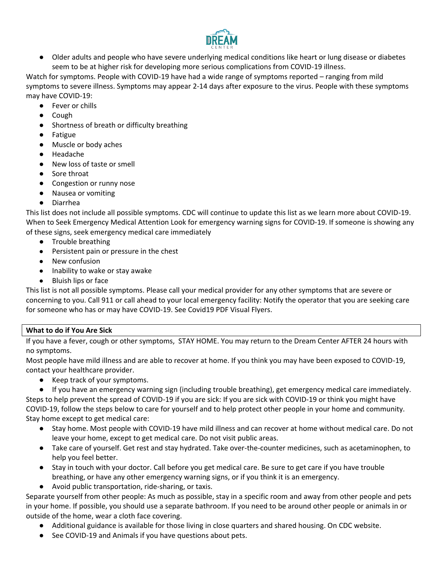

● Older adults and people who have severe underlying medical conditions like heart or lung disease or diabetes seem to be at higher risk for developing more serious complications from COVID-19 illness.

Watch for symptoms. People with COVID-19 have had a wide range of symptoms reported – ranging from mild symptoms to severe illness. Symptoms may appear 2-14 days after exposure to the virus. People with these symptoms may have COVID-19:

- Fever or chills
- Cough
- Shortness of breath or difficulty breathing
- Fatigue
- Muscle or body aches
- Headache
- New loss of taste or smell
- Sore throat
- Congestion or runny nose
- Nausea or vomiting
- Diarrhea

This list does not include all possible symptoms. CDC will continue to update this list as we learn more about COVID-19. When to Seek Emergency Medical Attention Look for emergency warning signs for COVID-19. If someone is showing any of these signs, seek emergency medical care immediately

- Trouble breathing
- Persistent pain or pressure in the chest
- New confusion
- Inability to wake or stay awake
- Bluish lips or face

This list is not all possible symptoms. Please call your medical provider for any other symptoms that are severe or concerning to you. Call 911 or call ahead to your local emergency facility: Notify the operator that you are seeking care for someone who has or may have COVID-19. See Covid19 PDF Visual Flyers.

# **What to do if You Are Sick**

If you have a fever, cough or [other symptoms,](https://www.cdc.gov/coronavirus/2019-ncov/symptoms-testing/symptoms.html) STAY HOME. You may return to the Dream Center AFTER 24 hours with no symptoms.

Most people have mild illness and are able to recover at home. If you think you may have been exposed to COVID-19, contact your healthcare provider.

- Keep track of your symptoms.
- If you have [an emergency warning sign](https://www.cdc.gov/coronavirus/2019-ncov/symptoms-testing/symptoms.html#seek-medical-attention) (including trouble breathing), get emergency medical care immediately.

Steps to help prevent the spread of COVID-19 if you are sick[: If you are sick with COVID-19 or think you might have](https://www.cdc.gov/coronavirus/2019-ncov/hcp/guidance-prevent-spread.html#precautions)  [COVID-19,](https://www.cdc.gov/coronavirus/2019-ncov/hcp/guidance-prevent-spread.html#precautions) follow the steps below to care for yourself and to help protect other people in your home and community. Stay home except to get medical care:

- Stay home. Most people with COVID-19 have mild illness and can recover at home without medical care. Do not leave your home, except to get medical care. Do not visit public areas.
- Take care of yourself. Get rest and stay hydrated. Take over-the-counter medicines, such as acetaminophen, to help you feel better.
- Stay in touch with your doctor. Call before you get medical care. Be sure to get care if you have trouble breathing, or have any other [emergency warning signs,](https://www.cdc.gov/coronavirus/2019-ncov/if-you-are-sick/steps-when-sick.html#warning-signs) or if you think it is an [emergency.](https://www.cdc.gov/coronavirus/2019-ncov/if-you-are-sick/steps-when-sick.html#emergency)
- Avoid public transportation, ride-sharing, or taxis.

Separate yourself from other people: As much as possible, stay in a specific room and away from other people and pets in your home. If possible, you should use a separate bathroom. If you need to be around other people or animals in or outside of the home, wear a cloth face covering.

- Additional guidance is available for those living in [close quarters](https://www.cdc.gov/coronavirus/2019-ncov/daily-life-coping/living-in-close-quarters.html) and [shared housing.](https://www.cdc.gov/coronavirus/2019-ncov/daily-life-coping/shared-housing/index.html) On CDC website.
- See [COVID-19 and Animals](https://www.cdc.gov/coronavirus/2019-ncov/faq.html#COVID-19-and-Animals) if you have questions about pets.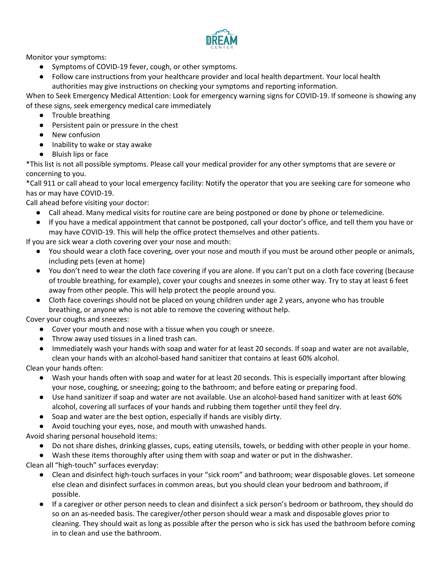

Monitor your symptoms:

- [Symptoms](https://www.cdc.gov/coronavirus/2019-ncov/symptoms-testing/symptoms.html) of COVID-19 fever, cough, or other symptoms.
- Follow care instructions from your healthcare provider and local health department. Your local health authorities may give instructions on checking your symptoms and reporting information.

When to Seek Emergency Medical Attention: Look for emergency warning signs for COVID-19. If someone is showing any of these signs, seek emergency medical care immediately

- Trouble breathing
- Persistent pain or pressure in the chest
- New confusion
- Inability to wake or stay awake
- Bluish lips or face

\*This list is not all possible symptoms. Please call your medical provider for any other symptoms that are severe or concerning to you.

\*Call 911 or call ahead to your local emergency facility: Notify the operator that you are seeking care for someone who has or may have COVID-19.

Call ahead before visiting your doctor:

- Call ahead. Many medical visits for routine care are being postponed or done by phone or telemedicine.
- If you have a medical appointment that cannot be postponed, call your doctor's office, and tell them you have or may have COVID-19. This will help the office protect themselves and other patients.

If you are sick wear a cloth covering over your nose and mouth:

- You should wear a [cloth face covering,](https://www.cdc.gov/coronavirus/2019-ncov/prevent-getting-sick/cloth-face-cover.html) over your nose and mouth if you must be around other people or animals, including pets (even at home)
- You don't need to wear the cloth face covering if you are alone. If you can't put on a cloth face covering (because of trouble breathing, for example), cover your coughs and sneezes in some other way. Try to stay at least 6 feet away from other people. This will help protect the people around you.
- Cloth face coverings should not be placed on young children under age 2 years, anyone who has trouble breathing, or anyone who is not able to remove the covering without help.

Cover your coughs and sneezes:

- Cover your mouth and nose with a tissue when you cough or sneeze.
- Throw away used tissues in a lined trash can.
- Immediately wash your hands with soap and water for at least 20 seconds. If soap and water are not available, clean your hands with an alcohol-based hand sanitizer that contains at least 60% alcohol.

Clean your hands often:

- Wash your hands often with soap and water for at least 20 seconds. This is especially important after blowing your nose, coughing, or sneezing; going to the bathroom; and before eating or preparing food.
- Use hand sanitizer if soap and water are not available. Use an alcohol-based hand sanitizer with at least 60% alcohol, covering all surfaces of your hands and rubbing them together until they feel dry.
- Soap and water are the best option, especially if hands are visibly dirty.
- Avoid touching your eyes, nose, and mouth with unwashed hands.

Avoid sharing personal household items:

- Do not share dishes, drinking glasses, cups, eating utensils, towels, or bedding with other people in your home.
- Wash these items thoroughly after using them with soap and water or put in the dishwasher.

Clean all "high-touch" surfaces everyday:

- Clean and disinfect high-touch surfaces in your "sick room" and bathroom; wear disposable gloves. Let someone else clean and disinfect surfaces in common areas, but you should clean your bedroom and bathroom, if possible.
- If a caregiver or other person needs to clean and disinfect a sick person's bedroom or bathroom, they should do so on an as-needed basis. The caregiver/other person should wear a mask and disposable gloves prior to cleaning. They should wait as long as possible after the person who is sick has used the bathroom before coming in to clean and use the bathroom.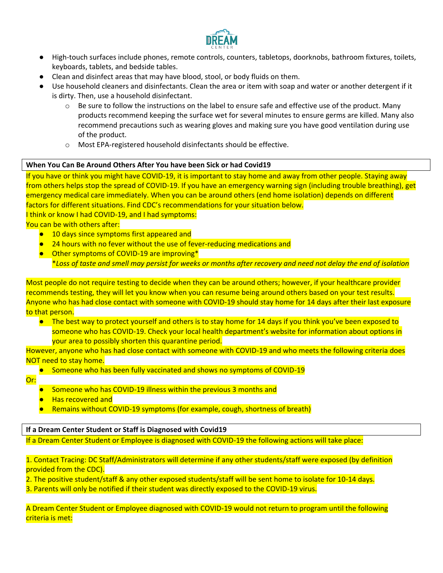

- High-touch surfaces include phones, remote controls, counters, tabletops, doorknobs, bathroom fixtures, toilets, keyboards, tablets, and bedside tables.
- Clean and disinfect areas that may have blood, stool, or body fluids on them.
- Use household cleaners and disinfectants. Clean the area or item with soap and water or another detergent if it is dirty. Then, use a household disinfectant.
	- $\circ$  Be sure to follow the instructions on the label to ensure safe and effective use of the product. Many products recommend keeping the surface wet for several minutes to ensure germs are killed. Many also recommend precautions such as wearing gloves and making sure you have good ventilation during use of the product.
	- o Most EPA-registered household disinfectants should be effective.

#### **When You Can Be Around Others After You have been Sick or had Covid19**

If you have or think you might have COVID-19, it is important to stay home and away from other people. Staying away from others helps stop the spread of COVID-19. If you have [an emergency warning sign](https://www.cdc.gov/coronavirus/2019-ncov/symptoms-testing/symptoms.html#seek-medical-attention) (including trouble breathing), get emergency medical care immediately. When you can be around others (end home isolation) depends on different factors for different situations. Find CDC's recommendations for your situation below. I think or know I had COVID-19, and I had symptoms:

You can be with others after:

- 10 days since symptoms first appeared and
- **24 hours with no fever without the use of fever-reducing medications and**
- Other symptoms of COVID-19 are improving<sup>\*</sup> \**Loss of taste and smell may persist for weeks or months after recovery and need not delay the end of isolation*

Most people do not require testing to decide when they can be around others; however, if your healthcare provider recommends testing, they will let you know when you can resume being around others based on your test results. Anyone who has had close contact with someone with COVID-19 should stay home for 14 days after their last exposure to that person.

● The best way to protect yourself and others is to stay home for 14 days if you think you've been exposed to someone who has COVID-19. Check your local health department's website for information about options in your area to possibly shorten this quarantine period.

However, anyone who has had close contact with someone with COVID-19 and who meets the following criteria does NOT need to stay home.

● Someone who has been fully vaccinated and shows no symptoms of COVID-19

Or:

- Someone who has COVID-19 illness within the previous 3 months and
- **Has recovered and**
- Remains without COVID-19 symptoms (for example, cough, shortness of breath)

#### **If a Dream Center Student or Staff is Diagnosed with Covid19**

If a Dream Center Student or Employee is diagnosed with COVID-19 the following actions will take place:

1. Contact Tracing: DC Staff/Administrators will determine if any other students/staff were exposed (by definition provided from the CDC).

2. The positive student/staff & any other exposed students/staff will be sent home to isolate for 10-14 days.

3. Parents will only be notified if their student was directly exposed to the COVID-19 virus.

A Dream Center Student or Employee diagnosed with COVID-19 would not return to program until the following criteria is met: